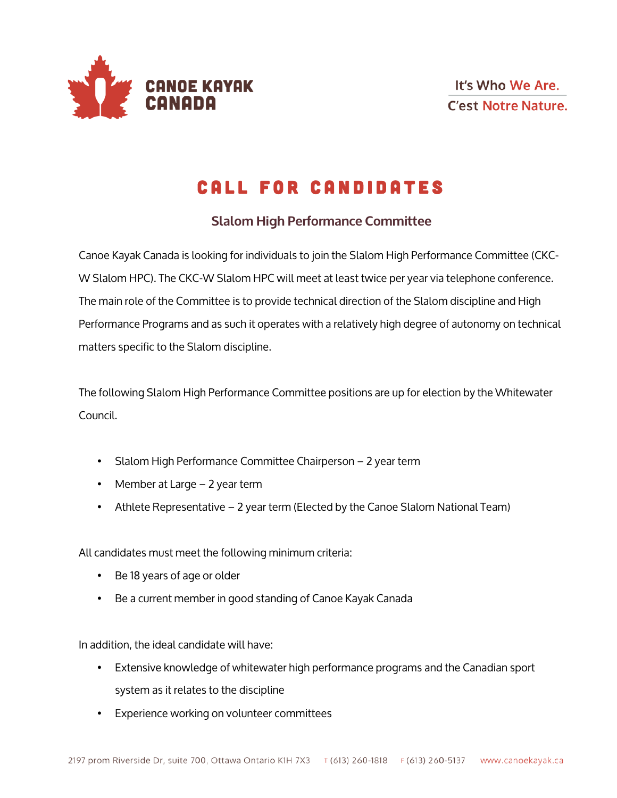

## Call for Candidates

## **Slalom High Performance Committee**

Canoe Kayak Canada is looking for individuals to join the Slalom High Performance Committee (CKC-W Slalom HPC). The CKC-W Slalom HPC will meet at least twice per year via telephone conference. The main role of the Committee is to provide technical direction of the Slalom discipline and High Performance Programs and as such it operates with a relatively high degree of autonomy on technical matters specific to the Slalom discipline.

The following Slalom High Performance Committee positions are up for election by the Whitewater Council.

- Slalom High Performance Committee Chairperson 2 year term
- Member at Large 2 year term
- Athlete Representative 2 year term (Elected by the Canoe Slalom National Team)

All candidates must meet the following minimum criteria:

- Be 18 years of age or older
- Be a current member in good standing of Canoe Kayak Canada

In addition, the ideal candidate will have:

- Extensive knowledge of whitewater high performance programs and the Canadian sport system as it relates to the discipline
- Experience working on volunteer committees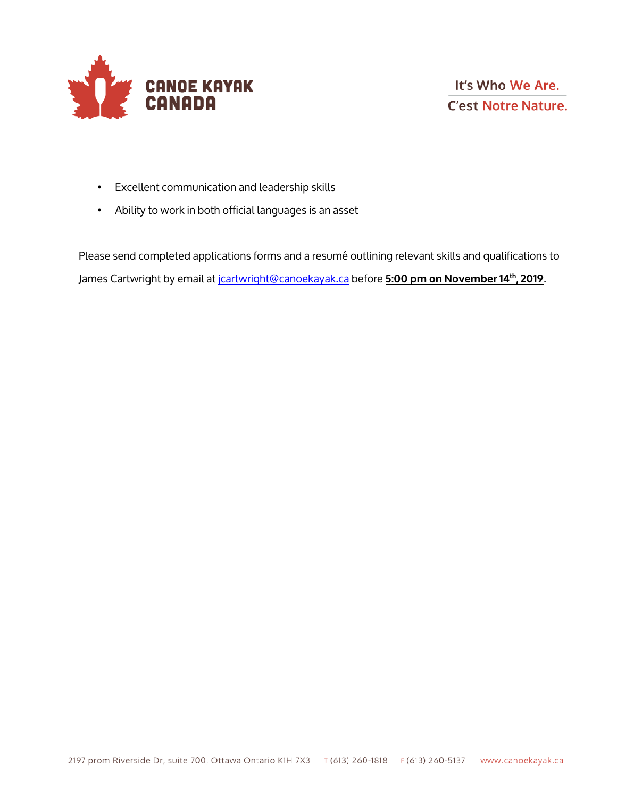

- Excellent communication and leadership skills
- Ability to work in both official languages is an asset

Please send completed applications forms and a resumé outlining relevant skills and qualifications to James Cartwright by email at jcartwright@canoekayak.ca before **5:00 pm on November 14th, 2019**.